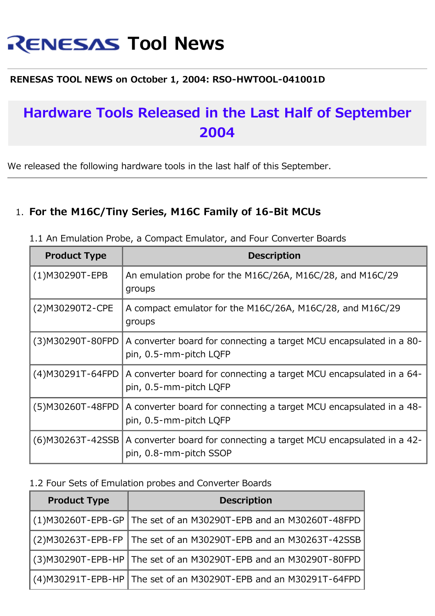# **RENESAS Tool News**

#### **RENESAS TOOL NEWS on October 1, 2004: RSO-HWTOOL-041001D**

## **Hardware Tools Released in the Last Half of September 2004**

We released the following hardware tools in the last half of this September.

#### 1. **For the M16C/Tiny Series, M16C Family of 16-Bit MCUs**

| <b>Product Type</b> | <b>Description</b>                                                                            |
|---------------------|-----------------------------------------------------------------------------------------------|
| $(1)$ M30290T-EPB   | An emulation probe for the M16C/26A, M16C/28, and M16C/29<br>groups                           |
| (2) M30290T2-CPE    | A compact emulator for the M16C/26A, M16C/28, and M16C/29<br>groups                           |
| (3) M30290T-80FPD   | A converter board for connecting a target MCU encapsulated in a 80-<br>pin, 0.5-mm-pitch LQFP |
| (4) M30291T-64FPD   | A converter board for connecting a target MCU encapsulated in a 64-<br>pin, 0.5-mm-pitch LQFP |
| (5) M30260T-48FPD   | A converter board for connecting a target MCU encapsulated in a 48-<br>pin, 0.5-mm-pitch LQFP |
| (6) M30263T-42SSB   | A converter board for connecting a target MCU encapsulated in a 42-<br>pin, 0.8-mm-pitch SSOP |

1.1 An Emulation Probe, a Compact Emulator, and Four Converter Boards

#### 1.2 Four Sets of Emulation probes and Converter Boards

| <b>Product Type</b> | <b>Description</b>                                                                    |  |
|---------------------|---------------------------------------------------------------------------------------|--|
|                     | $\mid$ (1)M30260T-EPB-GP $\mid$ The set of an M30290T-EPB and an M30260T-48FPD $\mid$ |  |
|                     | $\mid$ (2)M30263T-EPB-FP $\mid$ The set of an M30290T-EPB and an M30263T-42SSB $\mid$ |  |
|                     | $\mid$ (3)M30290T-EPB-HP $\mid$ The set of an M30290T-EPB and an M30290T-80FPD $\mid$ |  |
|                     | $(4)$ M30291T-EPB-HP The set of an M30290T-EPB and an M30291T-64FPD                   |  |